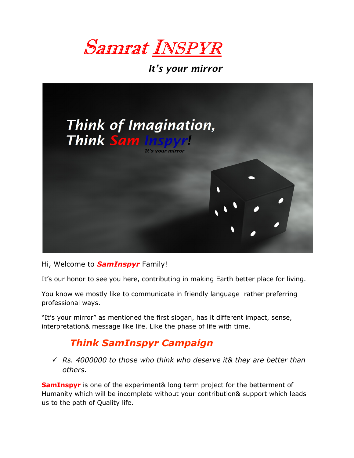



#### Hi, Welcome to **SamInspyr** Family!

It's our honor to see you here, contributing in making Earth better place for living.

You know we mostly like to communicate in friendly language rather preferring professional ways.

"It's your mirror" as mentioned the first slogan, has it different impact, sense, interpretation& message like life. Like the phase of life with time.

### Think SamInspyr Campaign

 $\sqrt{8}$  Rs. 4000000 to those who think who deserve it & they are better than others.

**SamInspyr** is one of the experiment& long term project for the betterment of Humanity which will be incomplete without your contribution& support which leads us to the path of Quality life.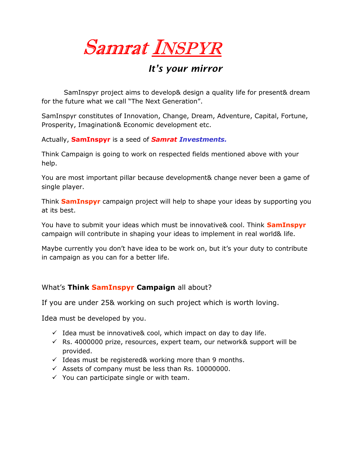Samrat INSPYR

 SamInspyr project aims to develop& design a quality life for present& dream for the future what we call "The Next Generation".

SamInspyr constitutes of Innovation, Change, Dream, Adventure, Capital, Fortune, Prosperity, Imagination& Economic development etc.

Actually, SamInspyr is a seed of Samrat Investments.

Think Campaign is going to work on respected fields mentioned above with your help.

You are most important pillar because development& change never been a game of single player.

Think **SamInspyr** campaign project will help to shape your ideas by supporting you at its best.

You have to submit your ideas which must be innovative& cool. Think SamInspyr campaign will contribute in shaping your ideas to implement in real world& life.

Maybe currently you don't have idea to be work on, but it's your duty to contribute in campaign as you can for a better life.

#### What's Think SamInspyr Campaign all about?

If you are under 25& working on such project which is worth loving.

Idea must be developed by you.

- $\checkmark$  Idea must be innovative & cool, which impact on day to day life.
- $\checkmark$  Rs. 4000000 prize, resources, expert team, our network& support will be provided.
- $\checkmark$  Ideas must be registered& working more than 9 months.
- $\checkmark$  Assets of company must be less than Rs. 10000000.
- $\checkmark$  You can participate single or with team.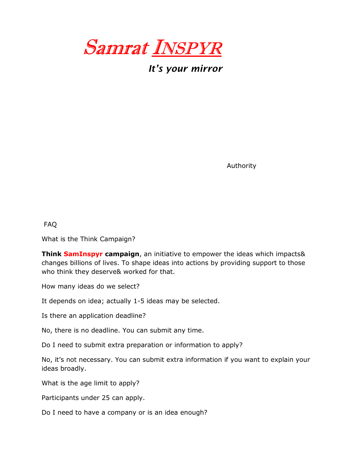

Authority

FAQ

What is the Think Campaign?

**Think SamInspyr campaign**, an initiative to empower the ideas which impacts& changes billions of lives. To shape ideas into actions by providing support to those who think they deserve& worked for that.

How many ideas do we select?

It depends on idea; actually 1-5 ideas may be selected.

Is there an application deadline?

No, there is no deadline. You can submit any time.

Do I need to submit extra preparation or information to apply?

No, it's not necessary. You can submit extra information if you want to explain your ideas broadly.

What is the age limit to apply?

Participants under 25 can apply.

Do I need to have a company or is an idea enough?